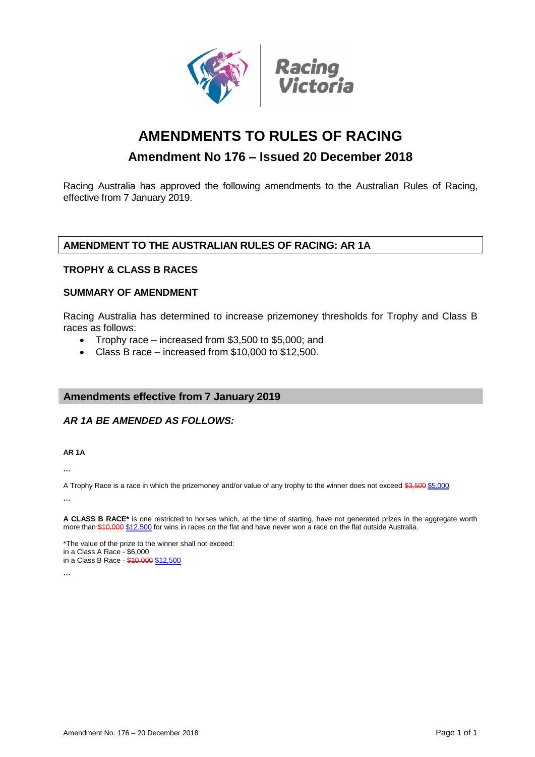

# **AMENDMENTS TO RULES OF RACING**

# **Amendment No 176 – Issued 20 December 2018**

Racing Australia has approved the following amendments to the Australian Rules of Racing, effective from 7 January 2019.

# **AMENDMENT TO THE AUSTRALIAN RULES OF RACING: AR 1A**

# **TROPHY & CLASS B RACES**

### **SUMMARY OF AMENDMENT**

Racing Australia has determined to increase prizemoney thresholds for Trophy and Class B races as follows:

- Trophy race increased from \$3,500 to \$5,000; and
- Class B race increased from \$10,000 to \$12,500.

# **Amendments effective from 7 January 2019**

# *AR 1A BE AMENDED AS FOLLOWS:*

**AR 1A**

**…**

A Trophy Race is a race in which the prizemoney and/or value of any trophy to the winner does not exceed \$3,500 \$5,000.

**…**

**A CLASS B RACE\*** is one restricted to horses which, at the time of starting, have not generated prizes in the aggregate worth more than \$10,000 \$12,500 for wins in races on the flat and have never won a race on the flat outside Australia.

\*The value of the prize to the winner shall not exceed: in a Class A Race - \$6,000 in a Class B Race - \$10,000 \$12,500

**…**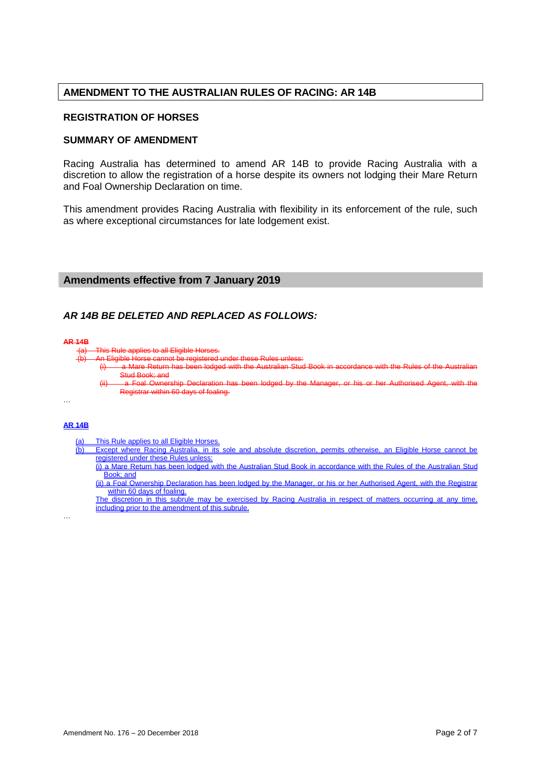# **AMENDMENT TO THE AUSTRALIAN RULES OF RACING: AR 14B**

### **REGISTRATION OF HORSES**

### **SUMMARY OF AMENDMENT**

Racing Australia has determined to amend AR 14B to provide Racing Australia with a discretion to allow the registration of a horse despite its owners not lodging their Mare Return and Foal Ownership Declaration on time.

This amendment provides Racing Australia with flexibility in its enforcement of the rule, such as where exceptional circumstances for late lodgement exist.

### **Amendments effective from 7 January 2019**

### *AR 14B BE DELETED AND REPLACED AS FOLLOWS:*

#### **AR 14B**

- applies to all Eligible Horses
	- An Eligible Horse cannot be registered under these Rules
		- (i) a Mare Return has been lodged with the Australian Stud Book in accordance with the Rules of the Australian Stud Book; and
		- (ii) a Foal Ownership Declaration has been lodged by the Manager, or his or her Authorised Agent, with the Registrar within 60 days of foaling.

…

…

### **AR 14B**

- (a) This Rule applies to all Eligible Horses.<br>(b) Except where Racing Australia, in its
	- (b) Except where Racing Australia, in its sole and absolute discretion, permits otherwise, an Eligible Horse cannot be registered under these Rules unles
		- (i) a Mare Return has been lodged with the Australian Stud Book in accordance with the Rules of the Australian Stud Book; and
		- (ii) a Foal Ownership Declaration has been lodged by the Manager, or his or her Authorised Agent, with the Registrar within 60 days of foaling.
	- The discretion in this subrule may be exercised by Racing Australia in respect of matters occurring at any time, including prior to the amendment of this subrule.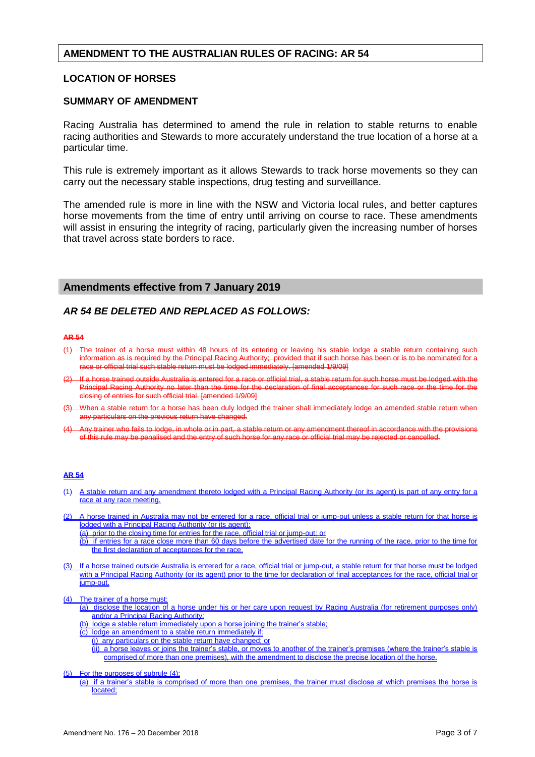### **AMENDMENT TO THE AUSTRALIAN RULES OF RACING: AR 54**

### **LOCATION OF HORSES**

### **SUMMARY OF AMENDMENT**

Racing Australia has determined to amend the rule in relation to stable returns to enable racing authorities and Stewards to more accurately understand the true location of a horse at a particular time.

This rule is extremely important as it allows Stewards to track horse movements so they can carry out the necessary stable inspections, drug testing and surveillance.

The amended rule is more in line with the NSW and Victoria local rules, and better captures horse movements from the time of entry until arriving on course to race. These amendments will assist in ensuring the integrity of racing, particularly given the increasing number of horses that travel across state borders to race.

### **Amendments effective from 7 January 2019**

### *AR 54 BE DELETED AND REPLACED AS FOLLOWS:*

#### **AR 54**

- The trainer of a horse must within 48 hours of its entering or leaving his stable lodge information as is required by the Principal Racing Authority; provided that if such horse has been or is to be nominated for a race or official trial such stable return must be lodged immediately. [amended 1/9/09]
- If a horse trained outside Australia is entered for a race or official trial, a stable return for such horse must be lodged with the Principal Racing Authority no later than the time for the declaration of final acceptances for such race or the time for the closing of entries for such official trial. [amended 1/9/09]
- (3) When a stable return for a horse has been duly lodged the trainer shall immediately lodge an amended stable return when any particulars on the previous return have changed.
- Any trainer who fails to lodge, in whole or in part, a stable return or any amendment thereof in accordance with the provisions of this rule may be penalised and the entry of such horse for any race or official trial may be rejected or cancelled.

#### **AR 54**

- (1) A stable return and any amendment thereto lodged with a Principal Racing Authority (or its agent) is part of any entry for a race at any race meeting.
- (2) A horse trained in Australia may not be entered for a race, official trial or jump-out unless a stable return for that horse is lodged with a Principal Racing Authority (or its agent):
	- (a) prior to the closing time for entries for the race, official trial or jump-out; or
	- (b) if entries for a race close more than 60 days before the advertised date for the running of the race, prior to the time for the first declaration of acceptances for the race.
- (3) If a horse trained outside Australia is entered for a race, official trial or jump-out, a stable return for that horse must be lodged with a Principal Racing Authority (or its agent) prior to the time for declaration of final acceptances for the race, official trial or jump-out.
- (4) The trainer of a horse must:
	- (a) disclose the location of a horse under his or her care upon request by Racing Australia (for retirement purposes only) and/or a Principal Racing Authority;
	- (b) lodge a stable return immediately upon a horse joining the trainer's stable;
	- (c) lodge an amendment to a stable return immediately if:
		- (i) any particulars on the stable return have changed; or

(ii) a horse leaves or joins the trainer's stable, or moves to another of the trainer's premises (where the trainer's stable is comprised of more than one premises), with the amendment to disclose the precise location of the horse.

- (5) For the purposes of subrule (4):
	- (a) if a trainer's stable is comprised of more than one premises, the trainer must disclose at which premises the horse is located;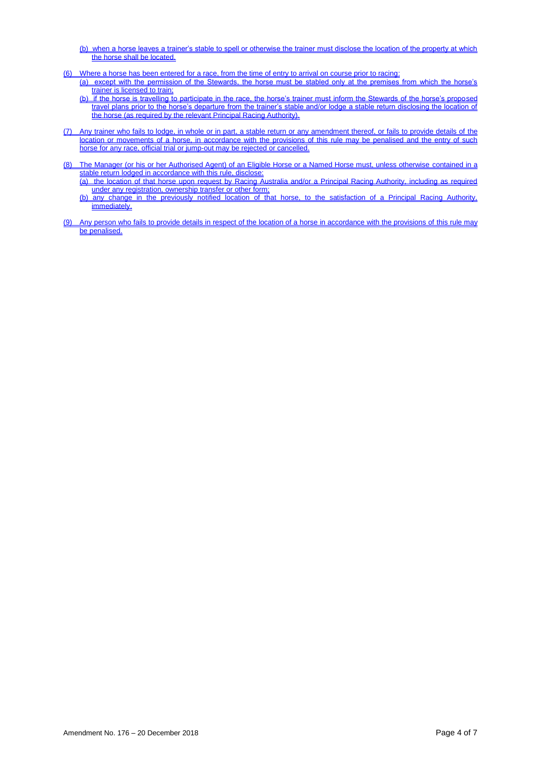- (b) when a horse leaves a trainer's stable to spell or otherwise the trainer must disclose the location of the property at which the horse shall be located.
- (6) Where a horse has been entered for a race, from the time of entry to arrival on course prior to racing:
	- (a) except with the permission of the Stewards, the horse must be stabled only at the premises from which the horse's trainer is licensed to train;
	- (b) if the horse is travelling to participate in the race, the horse's trainer must inform the Stewards of the horse's proposed travel plans prior to the horse's departure from the trainer's stable and/or lodge a stable return disclosing the location of the horse (as required by the relevant Principal Racing Authority).
- (7) Any trainer who fails to lodge, in whole or in part, a stable return or any amendment thereof, or fails to provide details of the location or movements of a horse, in accordance with the provisions of this rule may be penalised and the entry of such horse for any race, official trial or jump-out may be rejected or cancelled.
- (8) The Manager (or his or her Authorised Agent) of an Eligible Horse or a Named Horse must, unless otherwise contained in a stable return lodged in accordance with this rule, disclose:
	- (a) the location of that horse upon request by Racing Australia and/or a Principal Racing Authority, including as required under any registration, ownership transfer or other form;
	- (b) any change in the previously notified location of that horse, to the satisfaction of a Principal Racing Authority, immediately.
- (9) Any person who fails to provide details in respect of the location of a horse in accordance with the provisions of this rule may be penalised.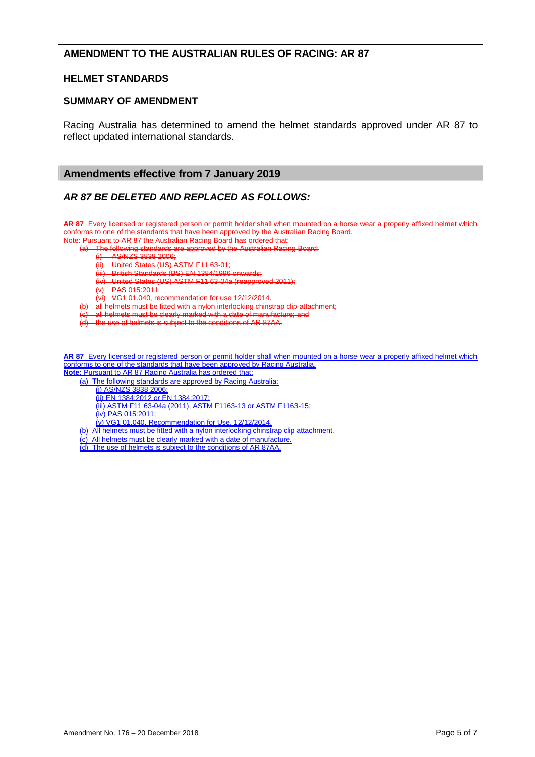### **AMENDMENT TO THE AUSTRALIAN RULES OF RACING: AR 87**

### **HELMET STANDARDS**

### **SUMMARY OF AMENDMENT**

Racing Australia has determined to amend the helmet standards approved under AR 87 to reflect updated international standards.

### **Amendments effective from 7 January 2019**

### *AR 87 BE DELETED AND REPLACED AS FOLLOWS:*

**AR 87** Every licensed or registered person or permit holder shall when mounted on a horse wear a properly affixed helmet which conforms to one of the standards that have been approved by the Australian Racing Board.

Note: Pursuant to AR 87 the Australian Racing Board has ordered that:

The following standards are approved by the Australian Racing Board:

 $(i)$  AS/NZS 3838-2006;<br> $(ii)$  United States (US) A

(ii) United States (US) ASTM F11 63-01;<br>(iii) British Standards (BS) FN 1384/1996

British Standards (BS) EN 1384/1996 onwards;

(iv) United States (US) ASTM F11 63-04a (reapproved 2011);

 $(v)$  PAS 015:2011

(vi) VG1 01.040, recommendation for use 12/12/2014.

all helmets must be fitted with a nylon interlocking chinstrap clip attachment;

(c) all helmets must be clearly marked with a date of manufacture; and

(d) the use of helmets is subject to the conditions of AR 87AA.

**AR 87** Every licensed or registered person or permit holder shall when mounted on a horse wear a properly affixed helmet which conforms to one of the standards that have been approved by Racing Australia. **Note:** Pursuant to AR 87 Racing Australia has ordered that:

(a) The following standards are approved by Racing Australia:

(i) AS/NZS 3838 2006;

(ii) EN 1384:2012 or EN 1384:2017;

(iii) ASTM F11 63-04a (2011), ASTM F1163-13 or ASTM F1163-15;

(iv) PAS 015:2011;

(v) VG1 01.040, Recommendation for Use, 12/12/2014.

(b) All helmets must be fitted with a nylon interlocking chinstrap clip attachment.

(c) All helmets must be clearly marked with a date of manufacture.

(d) The use of helmets is subject to the conditions of AR 87AA.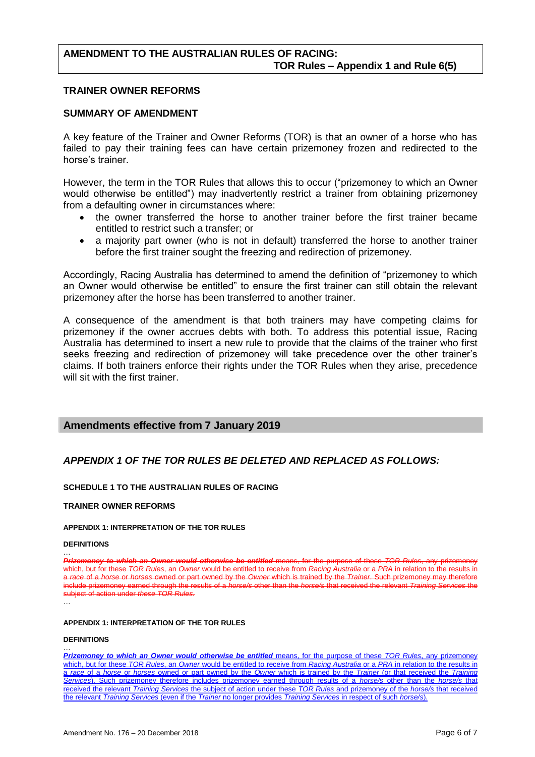# **AMENDMENT TO THE AUSTRALIAN RULES OF RACING: TOR Rules – Appendix 1 and Rule 6(5)**

### **TRAINER OWNER REFORMS**

### **SUMMARY OF AMENDMENT**

A key feature of the Trainer and Owner Reforms (TOR) is that an owner of a horse who has failed to pay their training fees can have certain prizemoney frozen and redirected to the horse's trainer.

However, the term in the TOR Rules that allows this to occur ("prizemoney to which an Owner would otherwise be entitled") may inadvertently restrict a trainer from obtaining prizemoney from a defaulting owner in circumstances where:

- the owner transferred the horse to another trainer before the first trainer became entitled to restrict such a transfer; or
- a majority part owner (who is not in default) transferred the horse to another trainer before the first trainer sought the freezing and redirection of prizemoney.

Accordingly, Racing Australia has determined to amend the definition of "prizemoney to which an Owner would otherwise be entitled" to ensure the first trainer can still obtain the relevant prizemoney after the horse has been transferred to another trainer.

A consequence of the amendment is that both trainers may have competing claims for prizemoney if the owner accrues debts with both. To address this potential issue, Racing Australia has determined to insert a new rule to provide that the claims of the trainer who first seeks freezing and redirection of prizemoney will take precedence over the other trainer's claims. If both trainers enforce their rights under the TOR Rules when they arise, precedence will sit with the first trainer.

### **Amendments effective from 7 January 2019**

# *APPENDIX 1 OF THE TOR RULES BE DELETED AND REPLACED AS FOLLOWS:*

### **SCHEDULE 1 TO THE AUSTRALIAN RULES OF RACING**

### **TRAINER OWNER REFORMS**

#### **APPENDIX 1: INTERPRETATION OF THE TOR RULES**

#### **DEFINITIONS**

**Prizew to which an Owner would otherwise be entitled means** which, but for these *TOR Rules*, an *Owner* would be entitled to receive from *Racing Australia* or a *PRA* in relation to the results in race of a *horse* or *horses* owned or part owned by the *Owner* which is trained by the *Trainer*. Such prizemoney may ther include prizemoney earned through the results of a *horse/s* other than the *horse/s* that received the relevant *Training Services* the subject of action under *these TOR Rules.* 

…

…

…

#### **APPENDIX 1: INTERPRETATION OF THE TOR RULES**

#### **DEFINITIONS**

**Prizemoney to which an Owner would otherwise be entitled** means, for the purpose of these *TOR Rules*, any prizemoney which, but for these *TOR Rules*, an *Owner* would be entitled to receive from *Racing Australia* or a *PRA* in relation to the results in a *race* of a *horse* or *horses* owned or part owned by the *Owner* which is trained by the *Trainer* (or that received the *Training Services*). Such prizemoney therefore includes prizemoney earned through results of a *horse/s* other than the *horse/s* that received the relevant *Training Services* the subject of action under these *TOR Rules* and prizemoney of the *horse/s* that received the relevant *Training Services* (even if the *Trainer* no longer provides *Training Services* in respect of such *horse/s*).